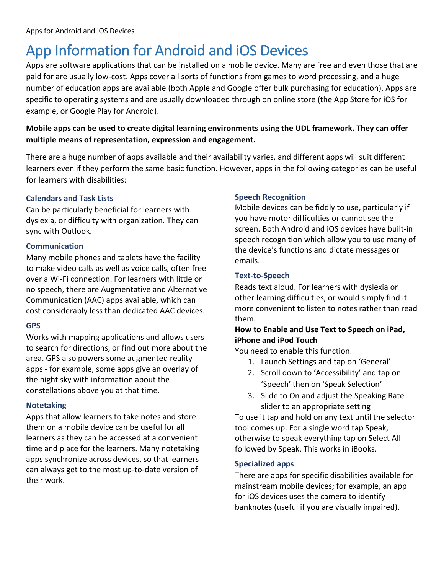## App Information for Android and iOS Devices

Apps are software applications that can be installed on a mobile device. Many are free and even those that are paid for are usually low-cost. Apps cover all sorts of functions from games to word processing, and a huge number of education apps are available (both Apple and Google offer bulk purchasing for education). Apps are specific to operating systems and are usually downloaded through on online store (the App Store for iOS for example, or Google Play for Android).

### **Mobile apps can be used to create digital learning environments using the UDL framework. They can offer multiple means of representation, expression and engagement.**

There are a huge number of apps available and their availability varies, and different apps will suit different learners even if they perform the same basic function. However, apps in the following categories can be useful for learners with disabilities:

#### **Calendars and Task Lists**

Can be particularly beneficial for learners with dyslexia, or difficulty with organization. They can sync with Outlook.

#### **Communication**

Many mobile phones and tablets have the facility to make video calls as well as voice calls, often free over a Wi-Fi connection. For learners with little or no speech, there are Augmentative and Alternative Communication (AAC) apps available, which can cost considerably less than dedicated AAC devices.

#### **GPS**

Works with mapping applications and allows users to search for directions, or find out more about the area. GPS also powers some augmented reality apps - for example, some apps give an overlay of the night sky with information about the constellations above you at that time.

#### **Notetaking**

Apps that allow learners to take notes and store them on a mobile device can be useful for all learners as they can be accessed at a convenient time and place for the learners. Many notetaking apps synchronize across devices, so that learners can always get to the most up-to-date version of their work.

#### **Speech Recognition**

Mobile devices can be fiddly to use, particularly if you have motor difficulties or cannot see the screen. Both Android and iOS devices have built-in speech recognition which allow you to use many of the device's functions and dictate messages or emails.

#### **Text-to-Speech**

Reads text aloud. For learners with dyslexia or other learning difficulties, or would simply find it more convenient to listen to notes rather than read them.

#### **How to Enable and Use Text to Speech on iPad, iPhone and iPod Touch**

You need to enable this function.

- 1. Launch Settings and tap on 'General'
- 2. Scroll down to 'Accessibility' and tap on 'Speech' then on 'Speak Selection'
- 3. Slide to On and adjust the Speaking Rate slider to an appropriate setting

To use it tap and hold on any text until the selector tool comes up. For a single word tap Speak, otherwise to speak everything tap on Select All followed by Speak. This works in iBooks.

#### **Specialized apps**

There are apps for specific disabilities available for mainstream mobile devices; for example, an app for iOS devices uses the camera to identify banknotes (useful if you are visually impaired).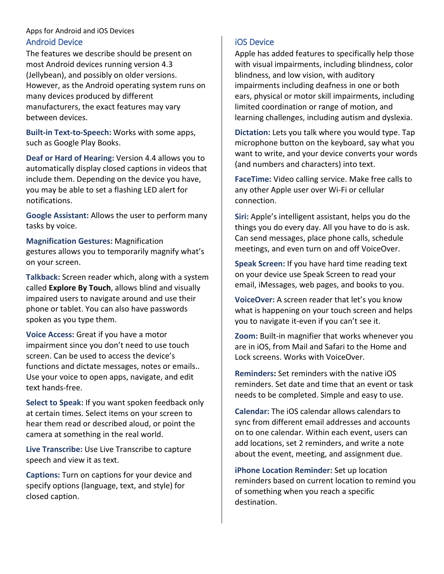#### Apps for Android and iOS Devices Android Device

The features we describe should be present on most Android devices running version 4.3 (Jellybean), and possibly on older versions. However, as the Android operating system runs on many devices produced by different manufacturers, the exact features may vary between devices.

**Built-in Text-to-Speech:** Works with some apps, such as Google Play Books.

**Deaf or Hard of Hearing:** Version 4.4 allows you to automatically display closed captions in videos that include them. Depending on the device you have, you may be able to set a flashing LED alert for notifications.

**Google Assistant:** Allows the user to perform many tasks by voice.

**Magnification Gestures:** Magnification gestures allows you to temporarily magnify what's on your screen.

**Talkback:** Screen reader which, along with a system called **Explore By Touch**, allows blind and visually impaired users to navigate around and use their phone or tablet. You can also have passwords spoken as you type them.

**Voice Access:** Great if you have a motor impairment since you don't need to use touch screen. Can be used to access the device's functions and dictate messages, notes or emails.. Use your voice to open apps, navigate, and edit text hands-free.

**Select to Speak:** If you want spoken feedback only at certain times. Select items on your screen to hear them read or described aloud, or point the camera at something in the real world.

**Live Transcribe:** Use Live Transcribe to capture speech and view it as text.

**Captions:** Turn on captions for your device and specify options (language, text, and style) for closed caption.

### iOS Device

Apple has added features to specifically help those with visual impairments, including blindness, color blindness, and low vision, with auditory impairments including deafness in one or both ears, physical or motor skill impairments, including limited coordination or range of motion, and learning challenges, including autism and dyslexia.

**Dictation:** Lets you talk where you would type. Tap microphone button on the keyboard, say what you want to write, and your device converts your words (and numbers and characters) into text.

**FaceTime:** Video calling service. Make free calls to any other Apple user over Wi-Fi or cellular connection.

**Siri:** Apple's intelligent assistant, helps you do the things you do every day. All you have to do is ask. Can send messages, place phone calls, schedule meetings, and even turn on and off VoiceOver.

**Speak Screen:** If you have hard time reading text on your device use Speak Screen to read your email, iMessages, web pages, and books to you.

**VoiceOver:** A screen reader that let's you know what is happening on your touch screen and helps you to navigate it-even if you can't see it.

**Zoom:** Built-in magnifier that works whenever you are in iOS, from Mail and Safari to the Home and Lock screens. Works with VoiceOver.

**Reminders:** Set reminders with the native iOS reminders. Set date and time that an event or task needs to be completed. Simple and easy to use.

**Calendar:** The iOS calendar allows calendars to sync from different email addresses and accounts on to one calendar. Within each event, users can add locations, set 2 reminders, and write a note about the event, meeting, and assignment due.

**iPhone Location Reminder:** Set up location reminders based on current location to remind you of something when you reach a specific destination.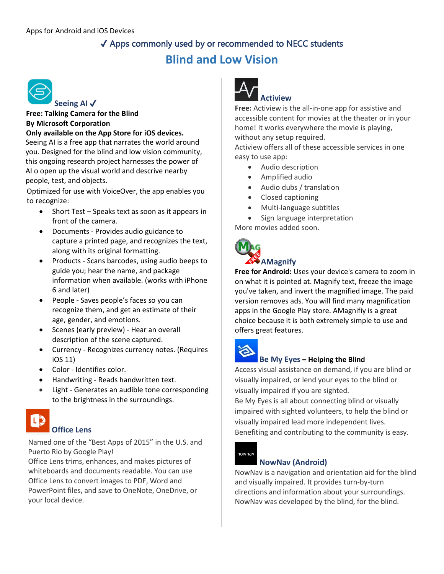## ✔ Apps commonly used by or recommended to NECC students **Blind and Low Vision**



## **Seeing AI** ✔

**Free: Talking Camera for the Blind By Microsoft Corporation**

**Only available on the App Store for iOS devices.** Seeing AI is a free app that narrates the world around you. Designed for the blind and low vision community, this ongoing research project harnesses the power of AI o open up the visual world and descrive nearby people, test, and objects.

Optimized for use with VoiceOver, the app enables you to recognize:

- Short Test Speaks text as soon as it appears in front of the camera.
- Documents Provides audio guidance to capture a printed page, and recognizes the text, along with its original formatting.
- Products Scans barcodes, using audio beeps to guide you; hear the name, and package information when available. (works with iPhone 6 and later)
- People Saves people's faces so you can recognize them, and get an estimate of their age, gender, and emotions.
- Scenes (early preview) Hear an overall description of the scene captured.
- Currency Recognizes currency notes. (Requires iOS 11)
- Color Identifies color.
- Handwriting Reads handwritten text.
- Light Generates an audible tone corresponding to the brightness in the surroundings.



#### **Office Lens**

Named one of the "Best Apps of 2015" in the U.S. and Puerto Rio by Google Play!

Office Lens trims, enhances, and makes pictures of whiteboards and documents readable. You can use Office Lens to convert images to PDF, Word and PowerPoint files, and save to OneNote, OneDrive, or your local device.



## Ac **Actiview**

**Free:** Actiview is the all-in-one app for assistive and accessible content for movies at the theater or in your home! It works everywhere the movie is playing, without any setup required.

Actiview offers all of these accessible services in one easy to use app:

- Audio description
- Amplified audio
- Audio dubs / translation
- Closed captioning
- Multi-language subtitles
- Sign language interpretation More movies added soon.



## **AMagnify**

**Free for Android:** Uses your device's camera to zoom in on what it is pointed at. Magnify text, freeze the image you've taken, and invert the magnified image. The paid version removes ads. You will find many magnification apps in the Google Play store. AMagnifiy is a great choice because it is both extremely simple to use and offers great features.



#### **Be My Eyes – Helping the Blind**

Access visual assistance on demand, if you are blind or visually impaired, or lend your eyes to the blind or visually impaired if you are sighted.

Be My Eyes is all about connecting blind or visually impaired with sighted volunteers, to help the blind or visually impaired lead more independent lives. Benefiting and contributing to the community is easy.



#### **NowNav (Android)**

NowNav is a navigation and orientation aid for the blind and visually impaired. It provides turn-by-turn directions and information about your surroundings. NowNav was developed by the blind, for the blind.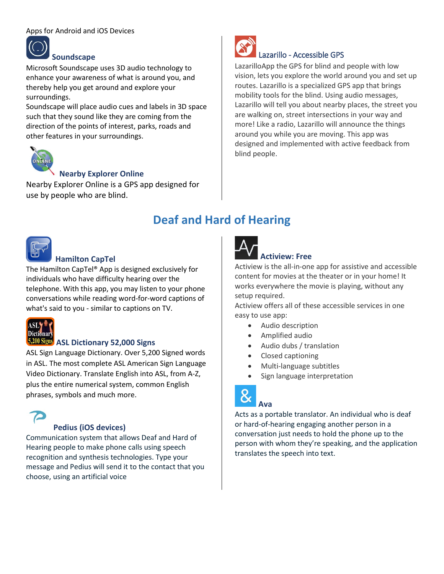#### Apps for Android and iOS Devices



#### **Soundscape**

Microsoft Soundscape uses 3D audio technology to enhance your awareness of what is around you, and thereby help you get around and explore your surroundings.

Soundscape will place audio cues and labels in 3D space such that they sound like they are coming from the direction of the points of interest, parks, roads and other features in your surroundings.



#### **Nearby Explorer Online**

Nearby Explorer Online is a GPS app designed for use by people who are blind.



#### **Hamilton CapTel**

The Hamilton CapTel® App is designed exclusively for individuals who have difficulty hearing over the telephone. With this app, you may listen to your phone conversations while reading word-for-word captions of what's said to you - similar to captions on TV.



## **ASL Dictionary 52,000 Signs**

ASL Sign Language Dictionary. Over 5,200 Signed words in ASL. The most complete ASL American Sign Language Video Dictionary. Translate English into ASL, from A-Z, plus the entire numerical system, common English phrases, symbols and much more.



#### **Pedius (iOS devices)**

Communication system that allows Deaf and Hard of Hearing people to make phone calls using speech recognition and synthesis technologies. Type your message and Pedius will send it to the contact that you choose, using an artificial voice



### Lazarillo - Accessible GPS

LazarilloApp the GPS for blind and people with low vision, lets you explore the world around you and set up routes. Lazarillo is a specialized GPS app that brings mobility tools for the blind. Using audio messages, Lazarillo will tell you about nearby places, the street you are walking on, street intersections in your way and more! Like a radio, Lazarillo will announce the things around you while you are moving. This app was designed and implemented with active feedback from blind people.

## **Deaf and Hard of Hearing**



#### **Actiview: Free**

Actiview is the all-in-one app for assistive and accessible content for movies at the theater or in your home! It works everywhere the movie is playing, without any setup required.

Actiview offers all of these accessible services in one easy to use app:

- Audio description
- Amplified audio
- Audio dubs / translation
- Closed captioning
- Multi-language subtitles
- Sign language interpretation



**Ava**

#### Acts as a portable translator. An individual who is deaf or hard-of-hearing engaging another person in a conversation just needs to hold the phone up to the person with whom they're speaking, and the application translates the speech into text.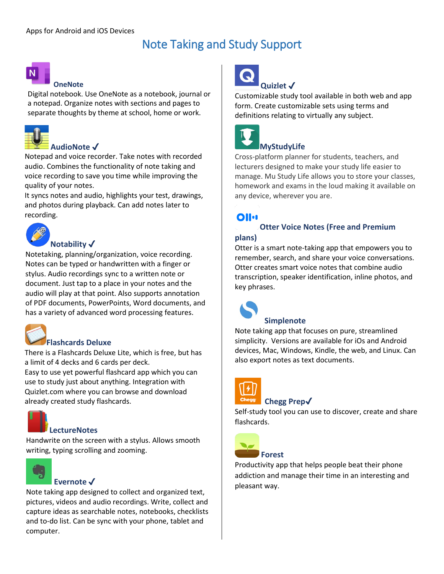## Note Taking and Study Support



#### **OneNote**

Digital notebook. Use OneNote as a notebook, journal or a notepad. Organize notes with sections and pages to separate thoughts by theme at school, home or work.



#### **AudioNote** ✔

Notepad and voice recorder. Take notes with recorded audio. Combines the functionality of note taking and voice recording to save you time while improving the quality of your notes.

It syncs notes and audio, highlights your test, drawings, and photos during playback. Can add notes later to recording.



#### **Notability** ✔

Notetaking, planning/organization, voice recording. Notes can be typed or handwritten with a finger or stylus. Audio recordings sync to a written note or document. Just tap to a place in your notes and the audio will play at that point. Also supports annotation of PDF documents, PowerPoints, Word documents, and has a variety of advanced word processing features.



### **Flashcards Deluxe**

There is a Flashcards Deluxe Lite, which is free, but has a limit of 4 decks and 6 cards per deck.

Easy to use yet powerful flashcard app which you can use to study just about anything. Integration with Quizlet.com where you can browse and download already created study flashcards.



#### **LectureNotes**

Handwrite on the screen with a stylus. Allows smooth writing, typing scrolling and zooming.



#### **Evernote** ✔

Note taking app designed to collect and organized text, pictures, videos and audio recordings. Write, collect and capture ideas as searchable notes, notebooks, checklists and to-do list. Can be sync with your phone, tablet and computer.



Customizable study tool available in both web and app form. Create customizable sets using terms and definitions relating to virtually any subject.



## **MyStudyLife**

Cross-platform planner for students, teachers, and lecturers designed to make your study life easier to manage. Mu Study Life allows you to store your classes, homework and exams in the loud making it available on any device, wherever you are.

## **Ollu**

## **Otter Voice Notes (Free and Premium**

#### **plans)**

Otter is a smart note-taking app that empowers you to remember, search, and share your voice conversations. Otter creates smart voice notes that combine audio transcription, speaker identification, inline photos, and key phrases.



## **Simplenote**

Note taking app that focuses on pure, streamlined simplicity. Versions are available for iOs and Android devices, Mac, Windows, Kindle, the web, and Linux. Can also export notes as text documents.



### **Chegg Prep**✔

Self-study tool you can use to discover, create and share flashcards.



### **Forest**

Productivity app that helps people beat their phone addiction and manage their time in an interesting and pleasant way.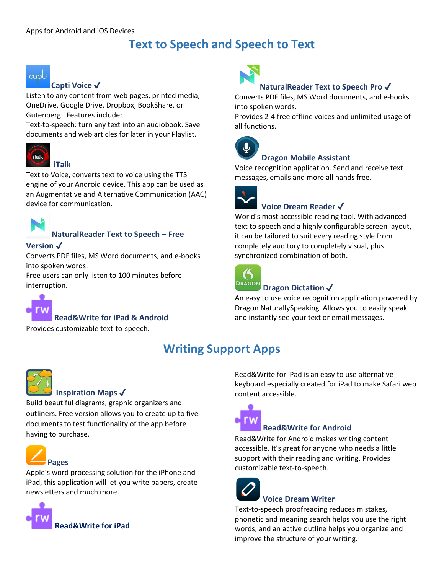## **Text to Speech and Speech to Text**



#### **Capti Voice** ✔

Listen to any content from web pages, printed media, OneDrive, Google Drive, Dropbox, BookShare, or Gutenberg. Features include:

Text-to-speech: turn any text into an audiobook. Save documents and web articles for later in your Playlist.



#### **iTalk**

Text to Voice, converts text to voice using the TTS engine of your Android device. This app can be used as an Augmentative and Alternative Communication (AAC) device for communication.



#### **NaturalReader Text to Speech – Free**

#### **Version** ✔

Converts PDF files, MS Word documents, and e-books into spoken words.

Free users can only listen to 100 minutes before interruption.



#### **Read&Write for iPad & Android**

Provides customizable text-to-speech.





#### **Inspiration Maps** ✔

Build beautiful diagrams, graphic organizers and outliners. Free version allows you to create up to five documents to test functionality of the app before having to purchase.



Apple's word processing solution for the iPhone and iPad, this application will let you write papers, create newsletters and much more.





#### **NaturalReader Text to Speech Pro** ✔

Converts PDF files, MS Word documents, and e-books into spoken words.

Provides 2-4 free offline voices and unlimited usage of all functions.



#### **Dragon Mobile Assistant**

Voice recognition application. Send and receive text messages, emails and more all hands free.



### **Voice Dream Reader** ✔

World's most accessible reading tool. With advanced text to speech and a highly configurable screen layout, it can be tailored to suit every reading style from completely auditory to completely visual, plus synchronized combination of both.



#### **Dragon Dictation** ✔

An easy to use voice recognition application powered by Dragon NaturallySpeaking. Allows you to easily speak and instantly see your text or email messages.

## **Writing Support Apps**

Read&Write for iPad is an easy to use alternative keyboard especially created for iPad to make Safari web content accessible.



#### **Read&Write for Android**

Read&Write for Android makes writing content accessible. It's great for anyone who needs a little support with their reading and writing. Provides customizable text-to-speech.



## **Voice Dream Writer**

Text-to-speech proofreading reduces mistakes, phonetic and meaning search helps you use the right words, and an active outline helps you organize and improve the structure of your writing.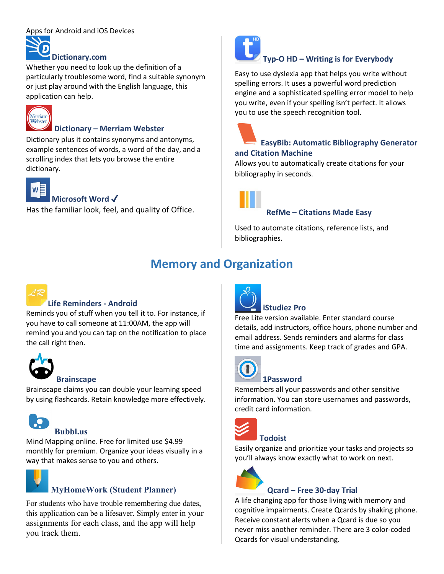#### Apps for Android and iOS Devices

## **Dictionary.com**

Whether you need to look up the definition of a particularly troublesome word, find a suitable synonym or just play around with the English language, this application can help.



#### **Dictionary – Merriam Webster**

Dictionary plus it contains synonyms and antonyms, example sentences of words, a word of the day, and a scrolling index that lets you browse the entire dictionary.



## **Microsoft Word** ✔

Has the familiar look, feel, and quality of Office.



## **Typ-O HD – Writing is for Everybody**

Easy to use dyslexia app that helps you write without spelling errors. It uses a powerful word prediction engine and a sophisticated spelling error model to help you write, even if your spelling isn't perfect. It allows you to use the speech recognition tool.



#### **EasyBib: Automatic Bibliography Generator and Citation Machine**

Allows you to automatically create citations for your bibliography in seconds.



#### **RefMe – Citations Made Easy**

Used to automate citations, reference lists, and bibliographies.

## **Memory and Organization**



### **Life Reminders - Android**

Reminds you of stuff when you tell it to. For instance, if you have to call someone at 11:00AM, the app will remind you and you can tap on the notification to place the call right then.



#### **Brainscape**

Brainscape claims you can double your learning speed by using flashcards. Retain knowledge more effectively.



#### Mind Mapping online. Free for limited use \$4.99 monthly for premium. Organize your ideas visually in a way that makes sense to you and others.



## **MyHomeWork (Student Planner)**

For students who have trouble remembering due dates, this application can be a lifesaver. Simply enter in your assignments for each class, and the app will help you track them.



### **iStudiez Pro**

Free Lite version available. Enter standard course details, add instructors, office hours, phone number and email address. Sends reminders and alarms for class time and assignments. Keep track of grades and GPA.



## **1Password**

Remembers all your passwords and other sensitive information. You can store usernames and passwords, credit card information.



## **Todoist**

Easily organize and prioritize your tasks and projects so you'll always know exactly what to work on next.



### **Qcard – Free 30-day Trial**

A life changing app for those living with memory and cognitive impairments. Create Qcards by shaking phone. Receive constant alerts when a Qcard is due so you never miss another reminder. There are 3 color-coded Qcards for visual understanding.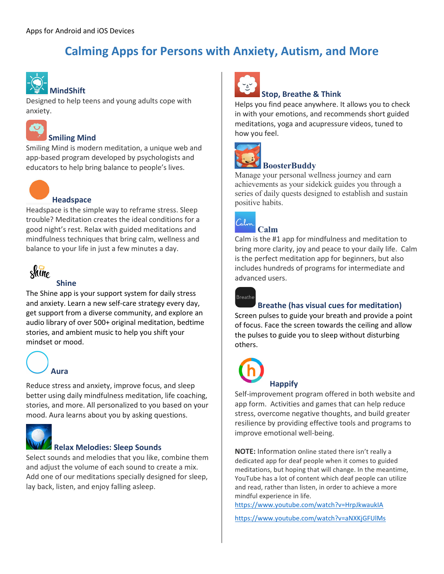## **Calming Apps for Persons with Anxiety, Autism, and More**



## **MindShift**

Designed to help teens and young adults cope with anxiety.



#### **Smiling Mind**

Smiling Mind is modern meditation, a unique web and app-based program developed by psychologists and educators to help bring balance to people's lives.



#### **Headspace**

Headspace is the simple way to reframe stress. Sleep trouble? Meditation creates the ideal conditions for a good night's rest. Relax with guided meditations and mindfulness techniques that bring calm, wellness and balance to your life in just a few minutes a day.



### **Shine**

The Shine app is your support system for daily stress and anxiety. Learn a new self-care strategy every day, get support from a diverse community, and explore an audio library of over 500+ original meditation, bedtime stories, and ambient music to help you shift your mindset or mood.

# **Aura**

Reduce stress and anxiety, improve focus, and sleep better using daily mindfulness meditation, life coaching, stories, and more. All personalized to you based on your mood. Aura learns about you by asking questions.



#### **Relax Melodies: Sleep Sounds**

Select sounds and melodies that you like, combine them and adjust the volume of each sound to create a mix. Add one of our meditations specially designed for sleep, lay back, listen, and enjoy falling asleep.



#### **Stop, Breathe & Think**

Helps you find peace anywhere. It allows you to check in with your emotions, and recommends short guided meditations, yoga and acupressure videos, tuned to how you feel.



## **BoosterBuddy**

Manage your personal wellness journey and earn achievements as your sidekick guides you through a series of daily quests designed to establish and sustain positive habits.



## **Calm**

Calm is the #1 app for mindfulness and meditation to bring more clarity, joy and peace to your daily life. Calm is the perfect meditation app for beginners, but also includes hundreds of programs for intermediate and advanced users.



### **Breathe (has visual cues for meditation)**

Screen pulses to guide your breath and provide a point of focus. Face the screen towards the ceiling and allow the pulses to guide you to sleep without disturbing others.



Self-improvement program offered in both website and app form. Activities and games that can help reduce stress, overcome negative thoughts, and build greater resilience by providing effective tools and programs to improve emotional well-being.

**NOTE:** Information online stated there isn't really a dedicated app for deaf people when it comes to guided meditations, but hoping that will change. In the meantime, YouTube has a lot of content which deaf people can utilize and read, rather than listen, in order to achieve a more mindful experience in life.

<https://www.youtube.com/watch?v=HrpJkwaukIA>

<https://www.youtube.com/watch?v=aNXKjGFUlMs>